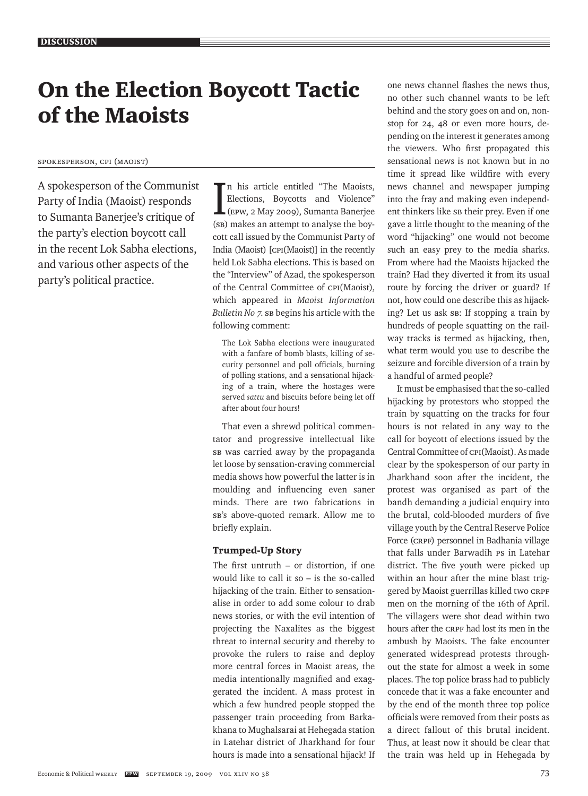# On the Election Boycott Tactic of the Maoists

#### Spokesperson, CPI (Maoist)

A spokesperson of the Communist Party of India (Maoist) responds to Sumanta Banerjee's critique of the party's election boycott call in the recent Lok Sabha elections, and various other aspects of the party's political practice.

In his article entitled "The Maoists,<br>Elections, Boycotts and Violence"<br>(EPW, 2 May 2009), Sumanta Banerjee<br>(SB) makes an attempt to analyse the boyn his article entitled "The Maoists, Elections, Boycotts and Violence" (EPW, 2 May 2009), Sumanta Banerjee cott call issued by the Communist Party of India (Maoist) [CPI(Maoist)] in the recently held Lok Sabha elections. This is based on the "Interview" of Azad, the spokesperson of the Central Committee of CPI(Maoist), which appeared in *Maoist Information Bulletin No 7*. SB begins his article with the following comment:

The Lok Sabha elections were inaugurated with a fanfare of bomb blasts, killing of security personnel and poll officials, burning of polling stations, and a sensational hijacking of a train, where the hostages were served *sattu* and biscuits before being let off after about four hours!

That even a shrewd political commentator and progressive intellectual like SB was carried away by the propaganda let loose by sensation-craving commercial media shows how powerful the latter is in moulding and influencing even saner minds. There are two fabrications in SB's above-quoted remark. Allow me to briefly explain.

### Trumped-Up Story

The first untruth – or distortion, if one would like to call it so – is the so-called hijacking of the train. Either to sensationalise in order to add some colour to drab news stories, or with the evil intention of projecting the Naxalites as the biggest threat to internal security and thereby to provoke the rulers to raise and deploy more central forces in Maoist areas, the media intentionally magnified and exaggerated the incident. A mass protest in which a few hundred people stopped the passenger train proceeding from Barkakhana to Mughalsarai at Hehegada station in Latehar district of Jharkhand for four hours is made into a sensational hijack! If

one news channel flashes the news thus, no other such channel wants to be left behind and the story goes on and on, nonstop for 24, 48 or even more hours, depending on the interest it generates among the viewers. Who first propagated this sensational news is not known but in no time it spread like wildfire with every news channel and newspaper jumping into the fray and making even independent thinkers like SB their prey. Even if one gave a little thought to the meaning of the word "hijacking" one would not become such an easy prey to the media sharks. From where had the Maoists hijacked the train? Had they diverted it from its usual route by forcing the driver or guard? If not, how could one describe this as hijacking? Let us ask SB: If stopping a train by hundreds of people squatting on the railway tracks is termed as hijacking, then, what term would you use to describe the seizure and forcible diversion of a train by a handful of armed people?

It must be emphasised that the so-called hijacking by protestors who stopped the train by squatting on the tracks for four hours is not related in any way to the call for boycott of elections issued by the Central Committee of CPI(Maoist). As made clear by the spokesperson of our party in Jharkhand soon after the incident, the protest was organised as part of the bandh demanding a judicial enquiry into the brutal, cold-blooded murders of five village youth by the Central Reserve Police Force (CRPF) personnel in Badhania village that falls under Barwadih PS in Latehar district. The five youth were picked up within an hour after the mine blast triggered by Maoist guerrillas killed two CRPF men on the morning of the 16th of April. The villagers were shot dead within two hours after the CRPF had lost its men in the ambush by Maoists. The fake encounter generated widespread protests throughout the state for almost a week in some places. The top police brass had to publicly concede that it was a fake encounter and by the end of the month three top police officials were removed from their posts as a direct fallout of this brutal incident. Thus, at least now it should be clear that the train was held up in Hehegada by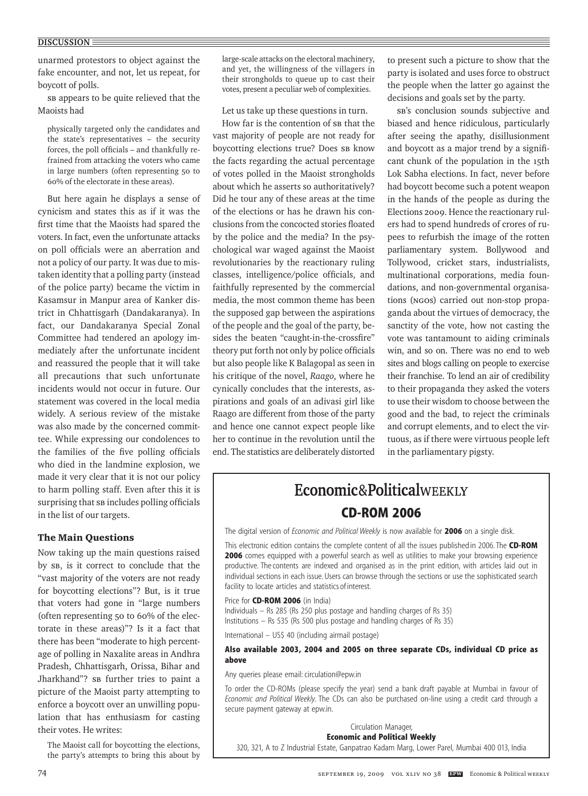unarmed protestors to object against the fake encounter, and not, let us repeat, for boycott of polls.

SB appears to be quite relieved that the Maoists had

physically targeted only the candidates and the state's representatives – the security forces, the poll officials – and thankfully refrained from attacking the voters who came in large numbers (often representing 50 to 60% of the electorate in these areas).

But here again he displays a sense of cynicism and states this as if it was the first time that the Maoists had spared the voters. In fact, even the unfortunate attacks on poll officials were an aberration and not a policy of our party. It was due to mistaken identity that a polling party (instead of the police party) became the victim in Kasamsur in Manpur area of Kanker district in Chhattisgarh (Dandakaranya). In fact, our Dandakaranya Special Zonal Committee had tendered an apology immediately after the unfortunate incident and reassured the people that it will take all precautions that such unfortunate incidents would not occur in future. Our statement was covered in the local media widely. A serious review of the mistake was also made by the concerned committee. While expressing our condolences to the families of the five polling officials who died in the landmine explosion, we made it very clear that it is not our policy to harm polling staff. Even after this it is surprising that su includes polling officials in the list of our targets.

### The Main Questions

Now taking up the main questions raised by SB, is it correct to conclude that the "vast majority of the voters are not ready for boycotting elections"? But, is it true that voters had gone in "large numbers (often representing 50 to 60% of the electorate in these areas)"? Is it a fact that there has been "moderate to high percentage of polling in Naxalite areas in Andhra Pradesh, Chhattisgarh, Orissa, Bihar and Jharkhand"? SB further tries to paint a picture of the Maoist party attempting to enforce a boycott over an unwilling population that has enthusiasm for casting their votes. He writes:

The Maoist call for boycotting the elections, the party's attempts to bring this about by large-scale attacks on the electoral machinery, and yet, the willingness of the villagers in their strongholds to queue up to cast their votes, present a peculiar web of complexities.

Let us take up these questions in turn.

How far is the contention of SB that the vast majority of people are not ready for boycotting elections true? Does SB know the facts regarding the actual percentage of votes polled in the Maoist strongholds about which he asserts so authoritatively? Did he tour any of these areas at the time of the elections or has he drawn his conclusions from the concocted stories floated by the police and the media? In the psychological war waged against the Maoist revolutionaries by the reactionary ruling classes, intelligence/police officials, and faithfully represented by the commercial media, the most common theme has been the supposed gap between the aspirations of the people and the goal of the party, besides the beaten "caught-in-the-crossfire" theory put forth not only by police officials but also people like K Balagopal as seen in his critique of the novel, *Raago*, where he cynically concludes that the interests, aspirations and goals of an adivasi girl like Raago are different from those of the party and hence one cannot expect people like her to continue in the revolution until the end. The statistics are deliberately distorted

to present such a picture to show that the party is isolated and uses force to obstruct the people when the latter go against the decisions and goals set by the party.

SB's conclusion sounds subjective and biased and hence ridiculous, particularly after seeing the apathy, disillusionment and boycott as a major trend by a significant chunk of the population in the 15th Lok Sabha elections. In fact, never before had boycott become such a potent weapon in the hands of the people as during the Elections 2009. Hence the reactionary rulers had to spend hundreds of crores of rupees to refurbish the image of the rotten parliamentary system. Bollywood and Tollywood, cricket stars, industrialists, multinational corporations, media foundations, and non-governmental organisations (NGOs) carried out non-stop propaganda about the virtues of democracy, the sanctity of the vote, how not casting the vote was tantamount to aiding criminals win, and so on. There was no end to web sites and blogs calling on people to exercise their franchise. To lend an air of credibility to their propaganda they asked the voters to use their wisdom to choose between the good and the bad, to reject the criminals and corrupt elements, and to elect the virtuous, as if there were virtuous people left in the parliamentary pigsty.

# Economic&PoliticalWEEKLY **CD-ROM 2006**

The digital version of *Economic and Political Weekly* is now available for **2006** on a single disk.

This electronic edition contains the complete content of all the issues published in 2006. The **CD-ROM 2006** comes equipped with a powerful search as well as utilities to make your browsing experience productive. Thecontents are indexed and organised as in the print edition, with articles laid out in individual sections in each issue. Users can browse through the sections or use the sophisticated search facility to locate articles and statistics of interest.

Price for **CD-ROM 2006** (in India)

Individuals – Rs 285 (Rs 250 plus postage and handling charges of Rs 35)

Institutions – Rs 535 (Rs 500 plus postage and handling charges of Rs 35)

International – US\$ 40 (including airmail postage)

#### **Also available 2003, 2004 and 2005 on three separate CDs, individual CD price as above**

Any queries please email: circulation@epw.in

To order the CD-ROMs (please specify the year) send a bank draft payable at Mumbai in favour of *Economic and Political Weekly*. The CDs can also be purchased on-line using a credit card through a secure payment gateway at epw.in.

Circulation Manager, **Economic and Political Weekly** 320, 321, A to Z Industrial Estate, Ganpatrao Kadam Marg, Lower Parel, Mumbai 400 013, India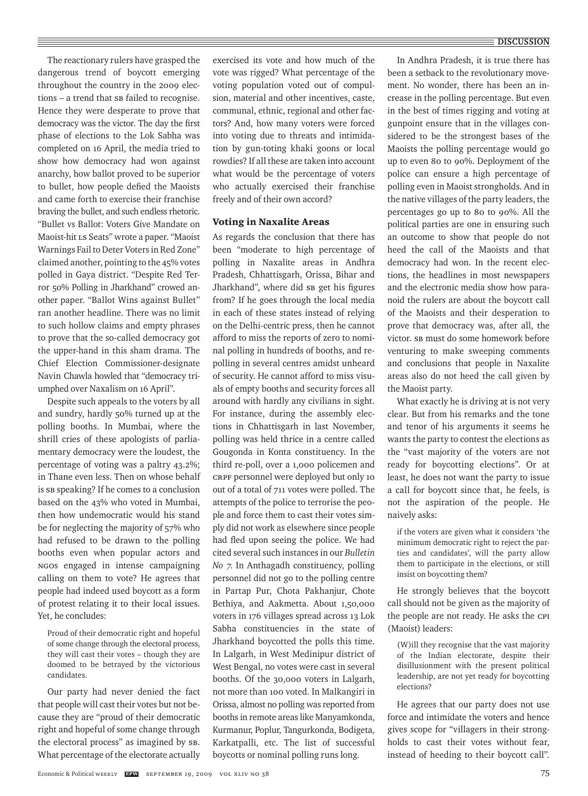The reactionary rulers have grasped the dangerous trend of boycott emerging throughout the country in the 2009 elections – a trend that SB failed to recognise. Hence they were desperate to prove that democracy was the victor. The day the first phase of elections to the Lok Sabha was completed on 16 April, the media tried to show how democracy had won against anarchy, how ballot proved to be superior to bullet, how people defied the Maoists and came forth to exercise their franchise braving the bullet, and such endless rhetoric. "Bullet vs Ballot: Voters Give Mandate on Maoist-hit LS Seats" wrote a paper. "Maoist Warnings Fail to Deter Voters in Red Zone" claimed another, pointing to the 45% votes polled in Gaya district. "Despite Red Terror 50% Polling in Jharkhand" crowed another paper. "Ballot Wins against Bullet" ran another headline. There was no limit to such hollow claims and empty phrases to prove that the so-called democracy got the upper-hand in this sham drama. The Chief Election Commissioner-designate Navin Chawla howled that "democracy triumphed over Naxalism on 16 April".

Despite such appeals to the voters by all and sundry, hardly 50% turned up at the polling booths. In Mumbai, where the shrill cries of these apologists of parliamentary democracy were the loudest, the percentage of voting was a paltry 43.2%; in Thane even less. Then on whose behalf is SB speaking? If he comes to a conclusion based on the 43% who voted in Mumbai, then how undemocratic would his stand be for neglecting the majority of 57% who had refused to be drawn to the polling booths even when popular actors and NGOs engaged in intense campaigning calling on them to vote? He agrees that people had indeed used boycott as a form of protest relating it to their local issues. Yet, he concludes:

Proud of their democratic right and hopeful of some change through the electoral process, they will cast their votes – though they are doomed to be betrayed by the victorious candidates.

Our party had never denied the fact that people will cast their votes but not because they are "proud of their democratic right and hopeful of some change through the electoral process" as imagined by SB. What percentage of the electorate actually

exercised its vote and how much of the vote was rigged? What percentage of the voting population voted out of compulsion, material and other incentives, caste, communal, ethnic, regional and other factors? And, how many voters were forced into voting due to threats and intimidation by gun-toting khaki goons or local rowdies? If all these are taken into account what would be the percentage of voters who actually exercised their franchise freely and of their own accord?

## Voting in Naxalite Areas

As regards the conclusion that there has been "moderate to high percentage of polling in Naxalite areas in Andhra Pradesh, Chhattisgarh, Orissa, Bihar and Jharkhand", where did SB get his figures from? If he goes through the local media in each of these states instead of relying on the Delhi-centric press, then he cannot afford to miss the reports of zero to nominal polling in hundreds of booths, and repolling in several centres amidst unheard of security. He cannot afford to miss visuals of empty booths and security forces all around with hardly any civilians in sight. For instance, during the assembly elections in Chhattisgarh in last November, polling was held thrice in a centre called Gougonda in Konta constituency. In the third re-poll, over a 1,000 policemen and CRPF personnel were deployed but only 10 out of a total of 711 votes were polled. The attempts of the police to terrorise the people and force them to cast their votes simply did not work as elsewhere since people had fled upon seeing the police. We had cited several such instances in our *Bulletin No 7*. In Anthagadh constituency, polling personnel did not go to the polling centre in Partap Pur, Chota Pakhanjur, Chote Bethiya, and Aakmetta. About 1,50,000 voters in 176 villages spread across 13 Lok Sabha constituencies in the state of Jharkhand boycotted the polls this time. In Lalgarh, in West Medinipur district of West Bengal, no votes were cast in several booths. Of the 30,000 voters in Lalgarh, not more than 100 voted. In Malkangiri in Orissa, almost no polling was reported from booths in remote areas like Manyamkonda, Kurmanur, Poplur, Tangurkonda, Bodigeta, Karkatpalli, etc. The list of successful boycotts or nominal polling runs long.

In Andhra Pradesh, it is true there has been a setback to the revolutionary movement. No wonder, there has been an increase in the polling percentage. But even in the best of times rigging and voting at gunpoint ensure that in the villages considered to be the strongest bases of the Maoists the polling percentage would go up to even 80 to 90%. Deployment of the police can ensure a high percentage of polling even in Maoist strongholds. And in the native villages of the party leaders, the percentages go up to 80 to 90%. All the political parties are one in ensuring such an outcome to show that people do not heed the call of the Maoists and that democracy had won. In the recent elections, the headlines in most newspapers and the electronic media show how paranoid the rulers are about the boycott call of the Maoists and their desperation to prove that democracy was, after all, the victor. SB must do some homework before venturing to make sweeping comments and conclusions that people in Naxalite areas also do not heed the call given by the Maoist party.

What exactly he is driving at is not very clear. But from his remarks and the tone and tenor of his arguments it seems he wants the party to contest the elections as the "vast majority of the voters are not ready for boycotting elections". Or at least, he does not want the party to issue a call for boycott since that, he feels, is not the aspiration of the people. He naively asks:

if the voters are given what it considers 'the minimum democratic right to reject the parties and candidates', will the party allow them to participate in the elections, or still insist on boycotting them?

He strongly believes that the boycott call should not be given as the majority of the people are not ready. He asks the CPI (Maoist) leaders:

(W)ill they recognise that the vast majority of the Indian electorate, despite their disillusionment with the present political leadership, are not yet ready for boycotting elections?

He agrees that our party does not use force and intimidate the voters and hence gives scope for "villagers in their strongholds to cast their votes without fear, instead of heeding to their boycott call".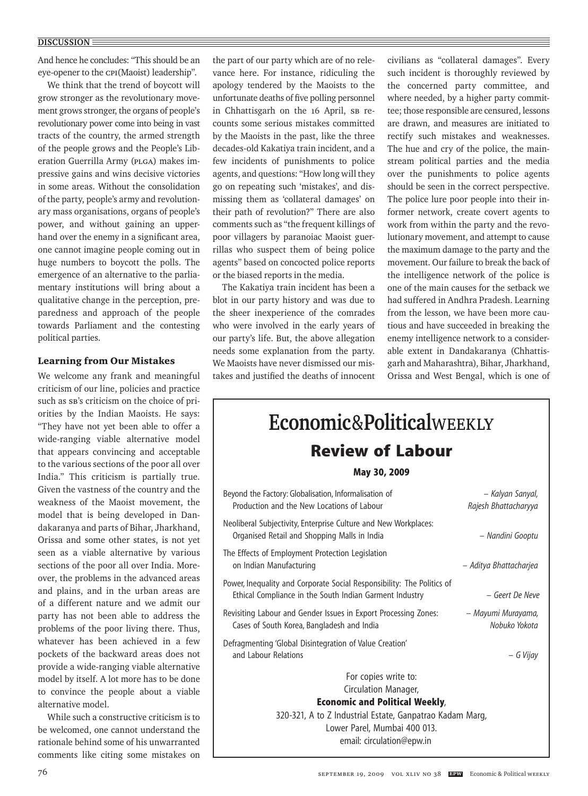#### **DISCUSSION**

And hence he concludes: "This should be an eye-opener to the CPI(Maoist) leadership".

We think that the trend of boycott will grow stronger as the revolutionary movement grows stronger, the organs of people's revolutionary power come into being in vast tracts of the country, the armed strength of the people grows and the People's Liberation Guerrilla Army (PLGA) makes impressive gains and wins decisive victories in some areas. Without the consolidation of the party, people's army and revolutionary mass organisations, organs of people's power, and without gaining an upperhand over the enemy in a significant area, one cannot imagine people coming out in huge numbers to boycott the polls. The emergence of an alternative to the parliamentary institutions will bring about a qualitative change in the perception, preparedness and approach of the people towards Parliament and the contesting political parties.

#### Learning from Our Mistakes

We welcome any frank and meaningful criticism of our line, policies and practice such as sB's criticism on the choice of priorities by the Indian Maoists. He says: "They have not yet been able to offer a wide-ranging viable alternative model that appears convincing and acceptable to the various sections of the poor all over India." This criticism is partially true. Given the vastness of the country and the weakness of the Maoist movement, the model that is being developed in Dandakaranya and parts of Bihar, Jharkhand, Orissa and some other states, is not yet seen as a viable alternative by various sections of the poor all over India. Moreover, the problems in the advanced areas and plains, and in the urban areas are of a different nature and we admit our party has not been able to address the problems of the poor living there. Thus, whatever has been achieved in a few pockets of the backward areas does not provide a wide-ranging viable alternative model by itself. A lot more has to be done to convince the people about a viable alternative model.

While such a constructive criticism is to be welcomed, one cannot understand the rationale behind some of his unwarranted comments like citing some mistakes on

the part of our party which are of no relevance here. For instance, ridiculing the apology tendered by the Maoists to the unfortunate deaths of five polling personnel in Chhattisgarh on the 16 April, SB recounts some serious mistakes committed by the Maoists in the past, like the three decades-old Kakatiya train incident, and a few incidents of punishments to police agents, and questions: "How long will they go on repeating such 'mistakes', and dismissing them as 'collateral damages' on their path of revolution?" There are also comments such as "the frequent killings of poor villagers by paranoiac Maoist guerrillas who suspect them of being police agents" based on concocted police reports or the biased reports in the media.

The Kakatiya train incident has been a blot in our party history and was due to the sheer inexperience of the comrades who were involved in the early years of our party's life. But, the above allegation needs some explanation from the party. We Maoists have never dismissed our mistakes and justified the deaths of innocent civilians as "collateral damages". Every such incident is thoroughly reviewed by the concerned party committee, and where needed, by a higher party committee; those responsible are censured, lessons are drawn, and measures are initiated to rectify such mistakes and weaknesses. The hue and cry of the police, the mainstream political parties and the media over the punishments to police agents should be seen in the correct perspective. The police lure poor people into their informer network, create covert agents to work from within the party and the revolutionary movement, and attempt to cause the maximum damage to the party and the movement. Our failure to break the back of the intelligence network of the police is one of the main causes for the setback we had suffered in Andhra Pradesh. Learning from the lesson, we have been more cautious and have succeeded in breaking the enemy intelligence network to a considerable extent in Dandakaranya (Chhattisgarh and Maharashtra), Bihar, Jharkhand, Orissa and West Bengal, which is one of

# Economic&PoliticalWEEKLY **Review of Labour**

#### **May 30, 2009**

| Beyond the Factory: Globalisation, Informalisation of<br>Production and the New Locations of Labour                               | - Kalyan Sanyal,<br>Rajesh Bhattacharyya |
|-----------------------------------------------------------------------------------------------------------------------------------|------------------------------------------|
| Neoliberal Subjectivity, Enterprise Culture and New Workplaces:<br>Organised Retail and Shopping Malls in India                   | - Nandini Gooptu                         |
| The Effects of Employment Protection Legislation<br>on Indian Manufacturing                                                       | - Aditya Bhattacharjea                   |
| Power, Inequality and Corporate Social Responsibility: The Politics of<br>Ethical Compliance in the South Indian Garment Industry | – Geert De Neve                          |
| Revisiting Labour and Gender Issues in Export Processing Zones:<br>Cases of South Korea, Bangladesh and India                     | - Mayumi Murayama,<br>Nobuko Yokota      |
| Defragmenting 'Global Disintegration of Value Creation'<br>and Labour Relations                                                   | – G Vijay                                |
| For copies write to:<br>Circulation Manager,                                                                                      |                                          |
| <b>Economic and Political Weekly,</b>                                                                                             |                                          |
| 320-321, A to Z Industrial Estate, Ganpatrao Kadam Marg,                                                                          |                                          |
| Lower Parel, Mumbai 400 013.                                                                                                      |                                          |
| email: circulation@epw.in                                                                                                         |                                          |